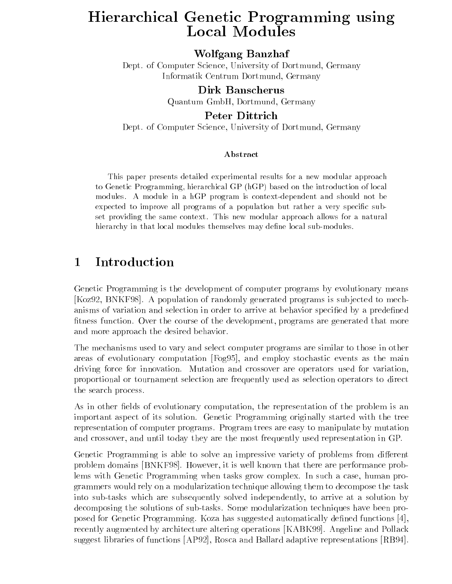# Hierarchical Genetic Programming using Local Modules

Wolfgang Banzhaf

Dept. of Computer Science, University of Dortmund, Germany Informatik Centrum Dortmund, Germany

Dirk Banscherus

Quantum GmbH, Dortmund, Germany

Peter Dittrich

Dept. of Computer Science, University of Dortmund, Germany

### Abstract

This paper presents detailed experimental results for a new modular approach to Genetic Programming, hierarchical GP (hGP) based on the introduction of local modules. A module in a hGP program is context-dependent and should not be expected to improve all programs of a population but rather a very specific subset providing the same context. This new modular approach allows for a natural hierarchy in that local modules themselves may define local sub-modules.

#### Introduction  $\mathbf{1}$ --

Genetic Programming is the development of computer programs by evolutionary means [Koz92, BNKF98]. A population of randomly generated programs is sub jected to mechanisms of variation and selection in order to arrive at behavior specified by a predefined fitness function. Over the course of the development, programs are generated that more and more approach the desired behavior.

The mechanisms used to vary and select computer programs are similar to those in other areas of evolutionary computation [Fog95], and employ stochastic events as the main driving force for innovation. Mutation and crossover are operators used for variation, proportional or tournament selection are frequently used as selection operators to direct the search process.

As in other fields of evolutionary computation, the representation of the problem is an important aspect of its solution. Genetic Programming originally started with the tree representation of computer programs. Program trees are easy to manipulate by mutation and crossover, and until today they are the most frequently used representation in GP.

Genetic Programming is able to solve an impressive variety of problems from different problem domains [BNKF98]. However, it is well known that there are performance problems with Genetic Programming when tasks grow complex. In such a case, human programmers would rely on a modularization technique allowing them to decompose the task into sub-tasks which are subsequently solved independently, to arrive at a solution by decomposing the solutions of sub-tasks. Some modularization techniques have been proposed for Genetic Programming. Koza has suggested automatically dened functions [4], recently augmented by architecture altering operations [KABK99]. Angeline and Pollack suggest libraries of functions [AP92], Rosca and Ballard adaptive representations [RB94].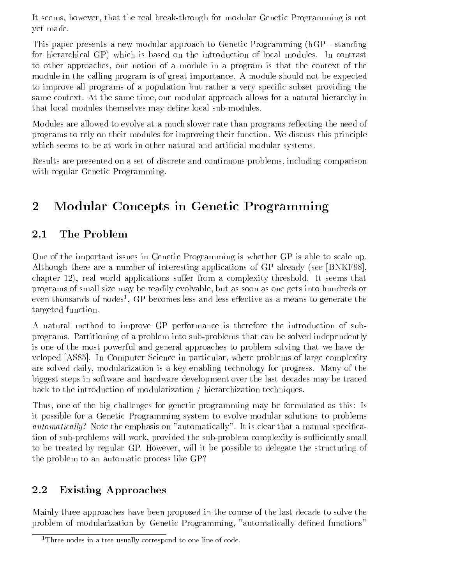It seems, however, that the real break-through for modular Genetic Programming is not yet made.

This paper presents a new modular approach to Genetic Programming (hGP - standing for hierarchical GP) which is based on the introduction of local modules. In contrast to other approaches, our notion of a module in a program is that the context of the module in the calling program is of great importance. A module should not be expected to improve all programs of a population but rather a very specic subset providing the same context. At the same time, our modular approach allows for a natural hierarchy in that local modules themselves may define local sub-modules.

Modules are allowed to evolve at a much slower rate than programs reflecting the need of programs to rely on their modules for improving their function. We discuss this principle which seems to be at work in other natural and artificial modular systems.

Results are presented on a set of discrete and continuous problems, including comparison with regular Genetic Programming.

### 2Modular Concepts in Genetic Programming

## 2.1 The Problem

One of the important issues in Genetic Programming is whether GP is able to scale up. Although there are a number of interesting applications of GP already (see [BNKF98], chapter  $12$ ), real world applications suffer from a complexity threshold. It seems that programs of small size may be readily evolvable, but as soon as one gets into hundreds or even thousands of nodes , GP becomes less and less effective as a means to generate the targeted function.

A natural method to improve GP performance is therefore the introduction of subprograms. Partitioning of a problem into sub-problems that can be solved independently is one of the most powerful and general approaches to problem solving that we have developed [AS85]. In Computer Science in particular, where problems of large complexity are solved daily, modularization is a key enabling technology for progress. Many of the biggest steps in software and hardware development over the last decades may be traced back to the introduction of modularization / hierarchization techniques.

Thus, one of the big challenges for genetic programming may be formulated as this: Is it possible for a Genetic Programming system to evolve modular solutions to problems  $automatically?$  Note the emphasis on "automatically". It is clear that a manual specification of sub-problems will work, provided the sub-problem complexity is sufficiently small to be treated by regular GP. However, will it be possible to delegate the structuring of the problem to an automatic process like GP?

### Existing Approaches  $2.2$

Mainly three approaches have been proposed in the course of the last decade to solve the problem of modularization by Genetic Programming, "automatically defined functions"

<sup>&</sup>lt;sup>1</sup>Three nodes in a tree usually correspond to one line of code.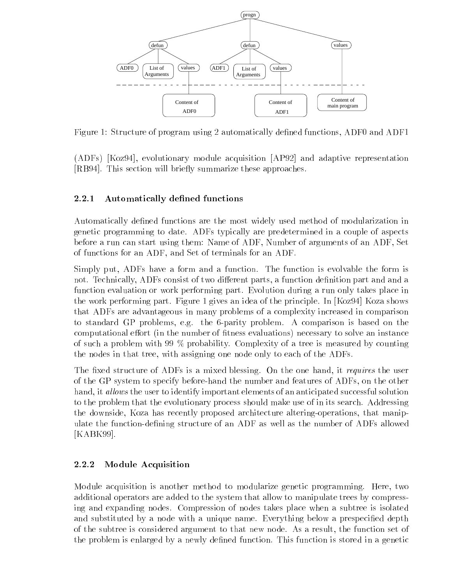

Figure 1: Structure of program using 2 automatically defined functions, ADF0 and ADF1

(ADFs) [Koz94], evolutionary module acquisition [AP92] and adaptive representation [RB94]. This section will briefly summarize these approaches.

## 2.2.1 Automatically defined functions

Automatically defined functions are the most widely used method of modularization in genetic programming to date. ADFs typically are predetermined in a couple of aspects before a run can start using them: Name of ADF, Number of arguments of an ADF, Set of functions for an ADF, and Set of terminals for an ADF.

Simply put, ADFs have a form and a function. The function is evolvable the form is not. Technically, ADFs consist of two different parts, a function definition part and and a function evaluation or work performing part. Evolution during a run only takes place in the work performing part. Figure 1 gives an idea of the principle. In [Koz94] Koza shows that ADFs are advantageous in many problems of a complexity increased in comparison to standard GP problems, e.g. the 6-parity problem. A comparison is based on the computational effort (in the number of fitness evaluations) necessary to solve an instance of such a problem with 99 % probability. Complexity of a tree is measured by counting the nodes in that tree, with assigning one node only to each of the ADFs.

The fixed structure of ADFs is a mixed blessing. On the one hand, it requires the user of the GP system to specify before-hand the number and features of ADFs, on the other hand, it allows the user to identify important elements of an anticipated successful solution to the problem that the evolutionary process should make use of in its search. Addressing the downside, Koza has recently proposed architecture altering-operations, that manipulate the function-defining structure of an ADF as well as the number of ADFs allowed [KABK99].

## 2.2.2 Module Acquisition

Module acquisition is another method to modularize genetic programming. Here, two additional operators are added to the system that allow to manipulate trees by compressing and expanding nodes. Compression of nodes takes place when a subtree is isolated and substituted by a node with a unique name. Everything below a prespecified depth of the subtree is considered argument to that new node. As a result, the function set of the problem is enlarged by a newly defined function. This function is stored in a genetic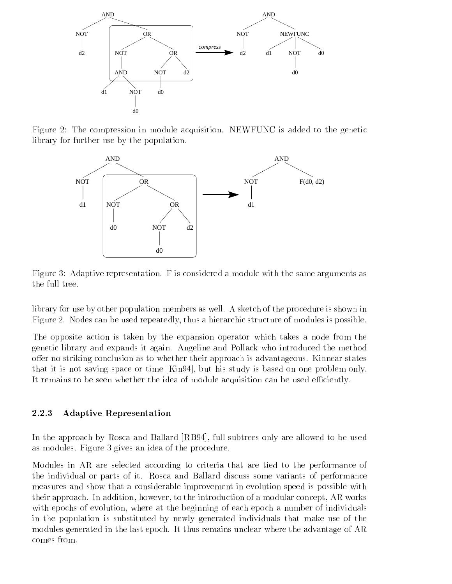

Figure 2: The compression in module acquisition. NEWFUNC is added to the genetic library for further use by the population.



Figure 3: Adaptive representation. F is considered a module with the same arguments as the full tree.

library for use by other population members as well. A sketch of the procedure is shown in Figure 2. Nodes can be used repeatedly, thus a hierarchic structure of modules is possible.

The opposite action is taken by the expansion operator which takes a node from the genetic library and expands it again. Angeline and Pollack who introduced the method offer no striking conclusion as to whether their approach is advantageous. Kinnear states that it is not saving space or time [Kin94], but his study is based on one problem only. It remains to be seen whether the idea of module acquisition can be used efficiently.

### 2.2.3 Adaptive Representation

In the approach by Rosca and Ballard [RB94], full subtrees only are allowed to be used as modules. Figure 3 gives an idea of the procedure.

Modules in AR are selected according to criteria that are tied to the performance of the individual or parts of it. Rosca and Ballard discuss some variants of performance measures and show that a considerable improvement in evolution speed is possible with their approach. In addition, however, to the introduction of a modular concept, AR works with epochs of evolution, where at the beginning of each epoch a number of individuals in the population is substituted by newly generated individuals that make use of the modules generated in the last epoch. It thus remains unclear where the advantage of AR comes from.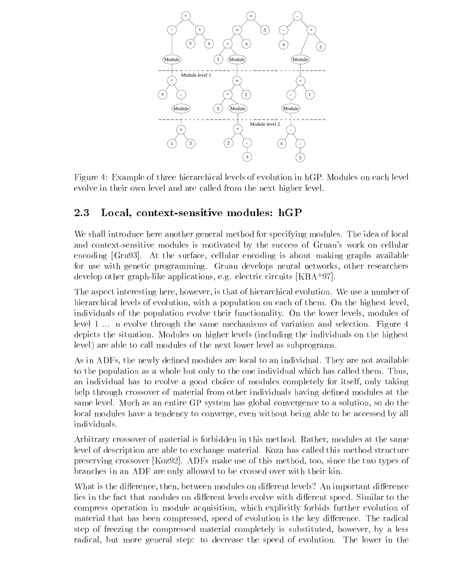

Figure 4: Example of three hierarchical levels of evolution in hGP. Modules on each level evolve in their own level and are called from the next higher level.

## 2.3 Local, context-sensitive modules: hGP

We shall introduce here another general method for specifying modules. The idea of local and context-sensitive modules is motivated by the success of Gruau's work on cellular encoding [Gru93]. At the surface, cellular encoding is about making graphs available for use with genetic programming. Gruau develops neural networks, other researchers develop other graph-like applications, e.g. electric circuits [KBA<sup>+</sup> 97].

The aspect interesting here, however, is that of hierarchical evolution. We use a number of hierarchical levels of evolution, with a population on each of them. On the highest level, individuals of the population evolve their functionality. On the lower levels, modules of level 1 ... n evolve through the same mechanisms of variation and selection. Figure 4 depicts the situation. Modules on higher levels (including the individuals on the highest level) are able to call modules of the next lower level as subprograms.

As in ADFs, the newly defined modules are local to an individual. They are not available to the population as a whole but only to the one individual which has called them. Thus, an individual has to evolve a good choice of modules completely for itself, only taking help through crossover of material from other individuals having defined modules at the same level. Much as an entire GP system has global convergence to a solution, so do the local modules have a tendency to converge, even without being able to be accessed by all individuals.

Arbitrary crossover of material is forbidden in this method. Rather, modules at the same level of description are able to exchange material. Koza has called this method structure preserving crossover [Koz92]. ADFs make use of this method, too, since the two types of branches in an ADF are only allowed to be crossed over with their kin.

What is the difference, then, between modules on different levels? An important difference lies in the fact that modules on different levels evolve with different speed. Similar to the compress operation in module acquisition, which explicitly forbids further evolution of material that has been compressed, speed of evolution is the key difference. The radical step of freezing the compressed material completely is substituted, however, by a less radical, but more general step: to decrease the speed of evolution. The lower in the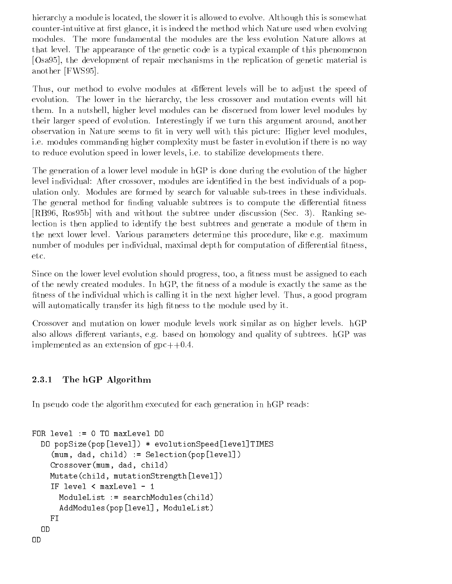hierarchy a module is located, the slower it is allowed to evolve. Although this is somewhat counter-intuitive at first glance, it is indeed the method which Nature used when evolving modules. The more fundamental the modules are the less evolution Nature allows at that level. The appearance of the genetic code is a typical example of this phenomenon [Osa95], the development of repair mechanisms in the replication of genetic material is another [FWS95].

Thus, our method to evolve modules at different levels will be to adjust the speed of evolution. The lower in the hierarchy, the less crossover and mutation events will hit them. In a nutshell, higher level modules can be discerned from lower level modules by their larger speed of evolution. Interestingly if we turn this argument around, another observation in Nature seems to fit in very well with this picture: Higher level modules, i.e. modules commanding higher complexity must be faster in evolution if there is no way to reduce evolution speed in lower levels, i.e. to stabilize developments there.

The generation of a lower level module in hGP is done during the evolution of the higher level individual: After crossover, modules are identified in the best individuals of a population only. Modules are formed by search for valuable sub-trees in these individuals. The general method for finding valuable subtrees is to compute the differential fitness [RB96, Ros95b] with and without the subtree under discussion (Sec. 3). Ranking selection is then applied to identify the best subtrees and generate a module of them in the next lower level. Various parameters determine this procedure, like e.g. maximum number of modules per individual, maximal depth for computation of differential fitness, etc.

Since on the lower level evolution should progress, too, a fitness must be assigned to each of the newly created modules. In hGP, the fitness of a module is exactly the same as the fitness of the individual which is calling it in the next higher level. Thus, a good program will automatically transfer its high fitness to the module used by it.

Crossover and mutation on lower module levels work similar as on higher levels. hGP also allows different variants, e.g. based on homology and quality of subtrees.  $hGP$  was implemented as an extension of  $gpc++0.4$ .

## 2.3.1 The hGP Algorithm

In pseudo code the algorithm executed for each generation in hGP reads:

```
FOR level := 0 TO maxLevel DO
  DO popSize(pop[level]) * evolutionSpeed[level]TIMES
    (mum, dad, child) := Selection(pop[level])
    Crossover(mum, dad, child)
    Mutate(child, mutationStrength[level])
    IF level < maxLevel - 1
      ModuleList := searchModules(child)
      AddModules(pop[level], ModuleList)
    FI
  OD
OD
```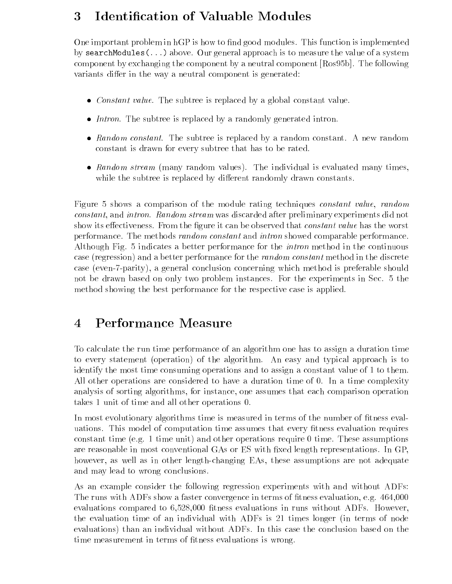### 3Identication of Valuable Modules

One important problem in hGP is how to find good modules. This function is implemented by searchModules(...) above. Our general approach is to measure the value of a system component by exchanging the component by a neutral component [Ros95b]. The following variants differ in the way a neutral component is generated:

- Constant value. The subtree is replaced by a global constant value.
- Intron. The subtree is replaced by a randomly generated intron.
- Random constant. The subtree is replaced by a random constant. A new random constant is drawn for every subtree that has to be rated.
- Random stream (many random values). The individual is evaluated many times, while the subtree is replaced by different randomly drawn constants.

Figure 5 shows a comparison of the module rating techniques constant value, random constant, and intron. Random stream was discarded after preliminary experiments did not show its effectiveness. From the figure it can be observed that *constant value* has the worst performance. The methods random constant and intron showed comparable performance. Although Fig. 5 indicates a better performance for the intron method in the continuous case (regression) and a better performance for the random constant method in the discrete case (even-7-parity), a general conclusion concerning which method is preferable should not be drawn based on only two problem instances. For the experiments in Sec. 5 the method showing the best performance for the respective case is applied.

#### Performance Measure  $\overline{4}$ -

To calculate the run time performance of an algorithm one has to assign a duration time to every statement (operation) of the algorithm. An easy and typical approach is to identify the most time consuming operations and to assign a constant value of 1 to them. All other operations are considered to have a duration time of 0. In a time complexity analysis of sorting algorithms, for instance, one assumes that each comparison operation takes 1 unit of time and all other operations 0.

In most evolutionary algorithms time is measured in terms of the number of fitness evaluations. This model of computation time assumes that every fitness evaluation requires constant time (e.g. 1 time unit) and other operations require 0 time. These assumptions are reasonable in most conventional GAs or ES with fixed length representations. In GP, however, as well as in other length-changing EAs, these assumptions are not adequate and may lead to wrong conclusions.

As an example consider the following regression experiments with and without ADFs: The runs with ADFs show a faster convergence in terms of fitness evaluation, e.g. 464,000 evaluations compared to 6,528,000 fitness evaluations in runs without ADFs. However, the evaluation time of an individual with ADFs is 21 times longer (in terms of node evaluations) than an individual without ADFs. In this case the conclusion based on the time measurement in terms of fitness evaluations is wrong.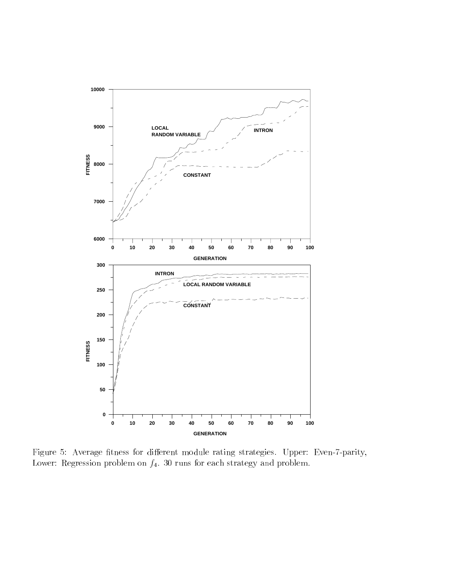

Figure 5: Average fitness for different module rating strategies. Upper: Even-7-parity, Lower: Regression problem on  $f_4$ . 30 runs for each strategy and problem.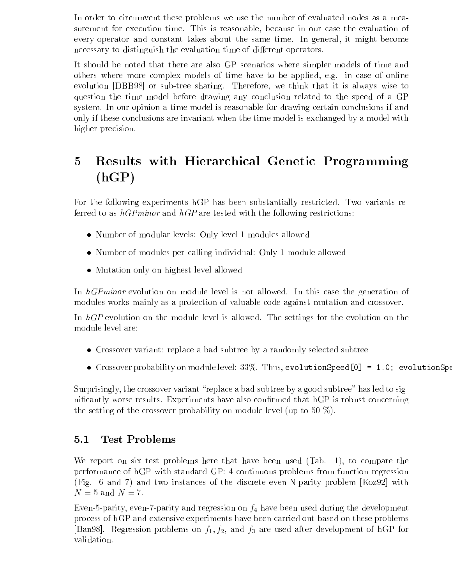In order to circumvent these problems we use the number of evaluated nodes as a measurement for execution time. This is reasonable, because in our case the evaluation of every operator and constant takes about the same time. In general, it might become necessary to distinguish the evaluation time of different operators.

It should be noted that there are also GP scenarios where simpler models of time and others where more complex models of time have to be applied, e.g. in case of online evolution [DBB98] or sub-tree sharing. Therefore, we think that it is always wise to question the time model before drawing any conclusion related to the speed of a GP system. In our opinion a time model is reasonable for drawing certain conclusions if and only if these conclusions are invariant when the time model is exchanged by a model with higher precision.

### 5 Results with Hierarchical Genetic Programming  $(hGP)$

For the following experiments hGP has been substantially restricted. Two variants referred to as  $hGPminor$  and  $hGP$  are tested with the following restrictions:

- Number of modular levels: Only level 1 modules allowed
- Number of modules per calling individual: Only 1 module allowed
- mutation on the level allowed all the measure of

In hGPminor evolution on module level is not allowed. In this case the generation of modules works mainly as a protection of valuable code against mutation and crossover.

In hGP evolution on the module level is allowed. The settings for the evolution on the module level are:

- Crossover variant: replace a bad subtree by a randomly selected subtree
- Crossover probability on module level: 33%. Thus, evolutionSpeed[0] = 1.0; evolutionSpe

Surprisingly, the crossover variant "replace a bad subtree by a good subtree" has led to significantly worse results. Experiments have also confirmed that hGP is robust concerning the setting of the crossover probability on module level (up to 50  $\%$ ).

## 5.1 Test Problems

We report on six test problems here that have been used (Tab. 1), to compare the performance of hGP with standard GP: 4 continuous problems from function regression (Fig. 6 and 7) and two instances of the discrete even-N-parity problem [Koz92] with  $N=5$  and  $N=7$ .

Even-5-parity, even-7-parity and regression on  $f_4$  have been used during the development process of hGP and extensive experiments have been carried out based on these problems [Ban98]. Regression problems on  $f_1, f_2$ , and  $f_3$  are used after development of hGP for validation.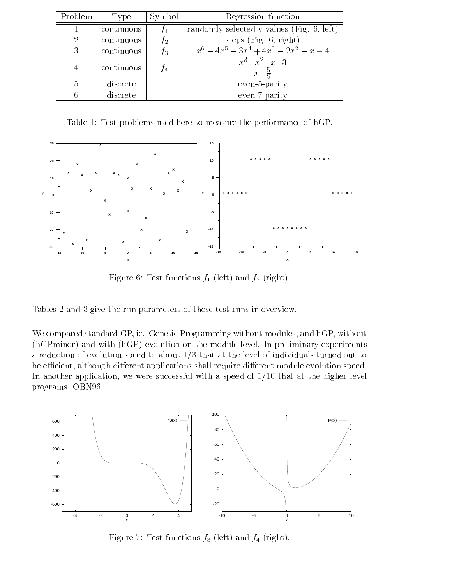| Problem | Type       | Symbol | Regression function                       |
|---------|------------|--------|-------------------------------------------|
|         | continuous |        | randomly selected y-values (Fig. 6, left) |
|         | continuous | J2     | steps $(Fig. 6, right)$                   |
|         | continuous | fз     | $x^6-4x^5-3x^4+4x^3-2x^2-x+4$             |
|         | continuous | J4     | $x^3 - x^2 - x + 3$<br>$x +$              |
|         | discrete   |        | even-5-parity                             |
|         | discrete   |        | even-7-parity                             |

Table 1: Test problems used here to measure the performance of hGP.



Figure 6: Test functions  $f_1$  (left) and  $f_2$  (right).

Tables 2 and 3 give the run parameters of these test runs in overview.

We compared standard GP, ie. Genetic Programming without modules, and hGP, without (hGPminor) and with (hGP) evolution on the module level. In preliminary experiments a reduction of evolution speed to about 1/3 that at the level of individuals turned out to be efficient, although different applications shall require different module evolution speed. In another application, we were successful with a speed of  $1/10$  that at the higher level programs [OBN96]



Figure 7: Test functions  $f_3$  (left) and  $f_4$  (right).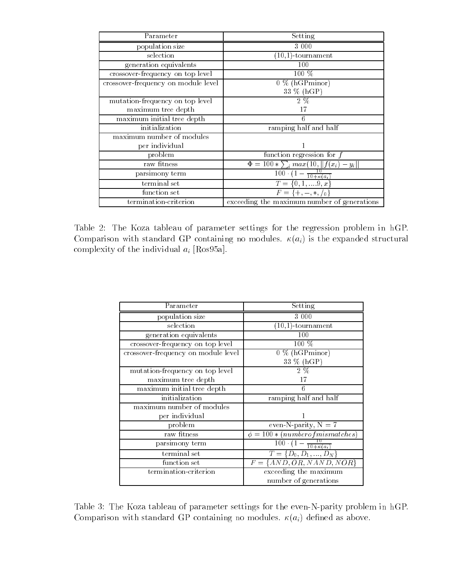| Parameter                           | Setting                                                                                            |
|-------------------------------------|----------------------------------------------------------------------------------------------------|
| population size                     | 3 0 0 0                                                                                            |
| selection                           | $(10,1)$ -tournament                                                                               |
| generation equivalents              | 100                                                                                                |
| crossover-frequency on top level    | $100\%$                                                                                            |
| crossover-frequency on module level | $0\%$ (hGPminor)                                                                                   |
|                                     | 33 % (hGP)                                                                                         |
| mutation-frequency on top level     | $2\%$                                                                                              |
| maximum tree depth                  | 17                                                                                                 |
| maximum initial tree depth          |                                                                                                    |
| initialization                      | ramping half and half                                                                              |
| maximum number of modules           |                                                                                                    |
| per individual                      |                                                                                                    |
| problem                             | function regression for $f$                                                                        |
| raw fitness                         | $\Phi = 100 * \sum_i max(10,   f(x_i) - y_i  )$                                                    |
| parsimony term                      | $\frac{100 \cdot (1 - \frac{10}{10 + \kappa(a_i)}))}{100 \cdot (1 - \frac{10}{10 + \kappa(a_i))}}$ |
| terminal set                        | $\overline{T} = \{0, 1, , 9, x\}$                                                                  |
| function set                        | $F = \{+, -, *, /_0\}$                                                                             |
| termination-criterion               | exceeding the maximum number of generations                                                        |

Table 2: The Koza tableau of parameter settings for the regression problem in hGP. Comparison with standard GP containing no modules.  $\kappa(a_i)$  is the expanded structural complexity of the individual  $a_i$  [Ros95a].

| Parameter                           | Setting                                            |
|-------------------------------------|----------------------------------------------------|
| population size                     | 3 000                                              |
| selection                           | $(10,1)$ -tournament                               |
| generation equivalents              | 100                                                |
| crossover-frequency on top level    | 100 %                                              |
| crossover-frequency on module level | $0\%$ (hGPminor)                                   |
|                                     | 33 % (hGP)                                         |
| mutation-frequency on top level     | $2\%$                                              |
| maximum tree depth                  | 17                                                 |
| maximum initial tree depth          | 6                                                  |
| initialization                      | ramping half and half                              |
| maximum number of modules           |                                                    |
| per individual                      |                                                    |
| problem                             | even-N-parity, $N = 7$                             |
| raw fitness                         | $\phi = 100 * (number of mismatches)$              |
| parsimony term                      | $\overline{100}\cdot(1-\frac{10}{10+\kappa(a_i)})$ |
| terminal set                        | $T = \{D_0, D_1, , D_N\}$                          |
| function set                        | $F = \{AND, OR, NAND, NOR\}$                       |
| termination-criterion               | exceeding the maximum                              |
|                                     | number of generations                              |

Table 3: The Koza tableau of parameter settings for the even-N-parity problem in hGP. Comparison with standard GP containing no modules.  $\kappa(a_i)$  defined as above.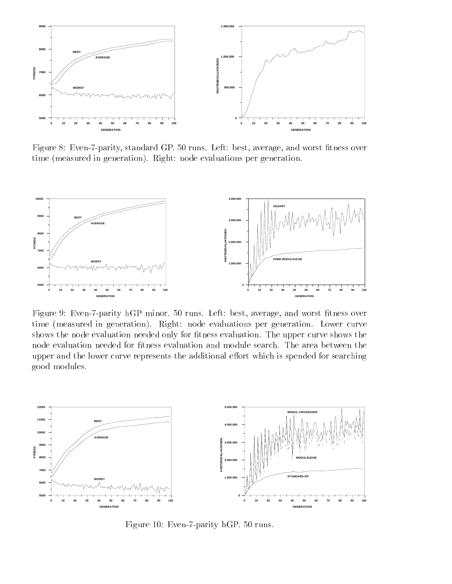

Figure 8: Even-7-parity, standard GP. 50 runs. Left: best, average, and worst fitness over time (measured in generation). Right: node evaluations per generation.



Figure 9: Even-7-parity hGP minor. 50 runs. Left: best, average, and worst fitness over time (measured in generation). Right: node evaluations per generation. Lower curve shows the node evaluation needed only for fitness evaluation. The upper curve shows the node evaluation needed for fitness evaluation and module search. The area between the upper and the lower curve represents the additional effort which is spended for searching good modules.



Figure 10: Even-7-parity hGP. 50 runs.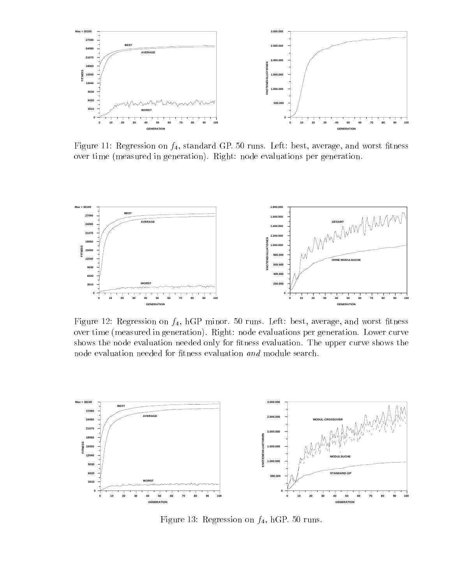

Figure 11: Regression on  $f_4$ , standard GP. 50 runs. Left: best, average, and worst fitness over time (measured in generation). Right: node evaluations per generation.



Figure 12: Regression on  $f_4$ , hGP minor. 50 runs. Left: best, average, and worst fitness over time (measured in generation). Right: node evaluations per generation. Lower curve shows the node evaluation needed only for fitness evaluation. The upper curve shows the node evaluation needed for fitness evaluation and module search.



Figure 13: Regression on  $f_4$ , hGP. 50 runs.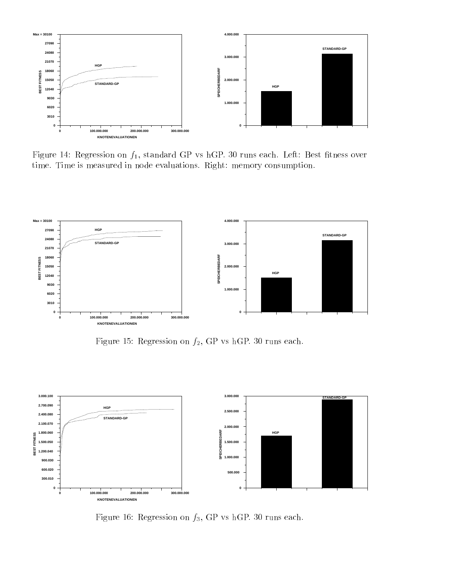

Figure 14: Regression on  $f_1$ , standard GP vs hGP. 30 runs each. Left: Best fitness over time. Time is measured in node evaluations. Right: memory consumption.



Figure 15: Regression on  $f_2$ , GP vs hGP. 30 runs each.



Figure 16: Regression on  $f_3$ , GP vs hGP. 30 runs each.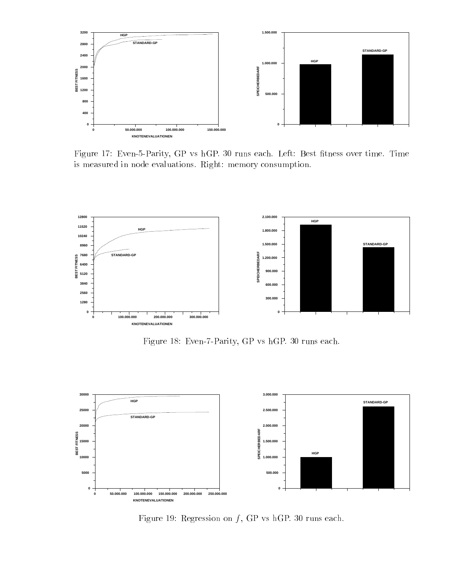

Figure 17: Even-5-Parity, GP vs hGP. 30 runs each. Left: Best fitness over time. Time is measured in node evaluations. Right: memory consumption.



Figure 18: Even-7-Parity, GP vs hGP. 30 runs each.



Figure 19: Regression on  $f$ , GP vs hGP. 30 runs each.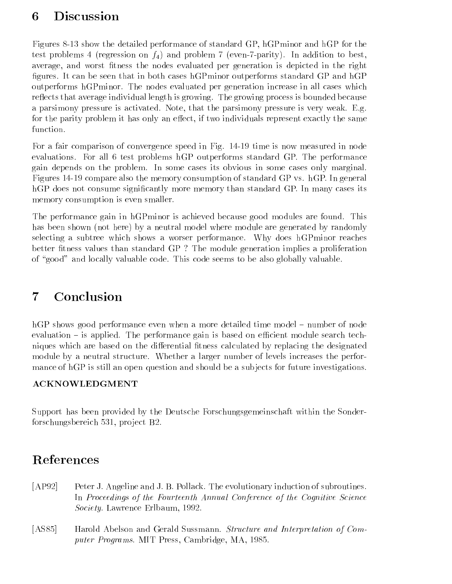### 6Discussion

Figures 8-13 show the detailed performance of standard GP, hGPminor and hGP for the test problems 4 (regression on  $f_4$ ) and problem 7 (even-7-parity). In addition to best, average, and worst fitness the nodes evaluated per generation is depicted in the right figures. It can be seen that in both cases hGPminor outperforms standard GP and hGP outperforms hGPminor. The nodes evaluated per generation increase in all cases which reflects that average individual length is growing. The growing process is bounded because a parsimony pressure is activated. Note, that the parsimony pressure is very weak. E.g. for the parity problem it has only an effect, if two individuals represent exactly the same function.

For a fair comparison of convergence speed in Fig. 14-19 time is now measured in node evaluations. For all 6 test problems hGP outperforms standard GP. The performance gain depends on the problem. In some cases its obvious in some cases only marginal. Figures 14-19 compare also the memory consumption of standard GP vs. hGP. In general hGP does not consume significantly more memory than standard GP. In many cases its memory consumption is even smaller.

The performance gain in hGPminor is achieved because good modules are found. This has been shown (not here) by a neutral model where module are generated by randomly selecting a subtree which shows a worser performance. Why does hGPminor reaches better fitness values than standard GP? The module generation implies a proliferation of "good" and locally valuable code. This code seems to be also globally valuable.

#### $\overline{7}$  Conclusion 77 September 2005

hGP shows good performance even when a more detailed time model – number of node evaluation  $-$  is applied. The performance gain is based on efficient module search techniques which are based on the differential fitness calculated by replacing the designated module by a neutral structure. Whether a larger number of levels increases the performance of hGP is still an open question and should be a subjects for future investigations.

## **ACKNOWLEDGMENT**

Support has been provided by the Deutsche Forschungsgemeinschaft within the Sonderforschungsbereich 531, project B2.

# References

- [AP92] Peter J. Angeline and J. B. Pollack. The evolutionary induction of subroutines. In Proceedings of the Fourteenth Annual Conference of the Cognitive Science Society. Lawrence Erlbaum, 1992.
- [AS85] Harold Abelson and Gerald Sussmann. Structure and Interpretation of Computer Programs. MIT Press, Cambridge, MA, 1985.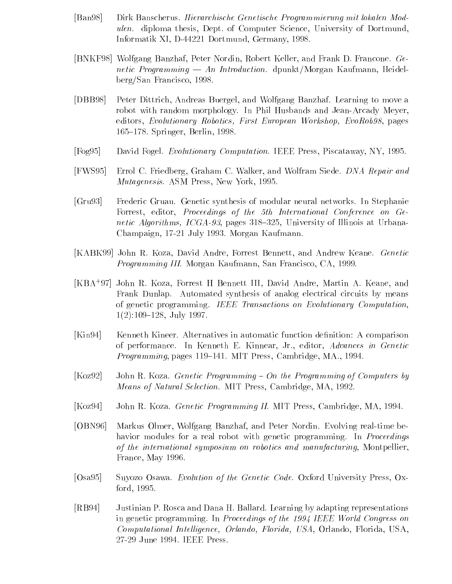- [Ban98] Dirk Banscherus. Hierarchische Genetische Programmierung mit lokalen Modulen. diploma thesis, Dept. of Computer Science, University of Dortmund, Informatik XI, D-44221 Dortmund, Germany, 1998.
- [BNKF98] Wolfgang Banzhaf, Peter Nordin, Robert Keller, and Frank D. Francone. Genetic Programming — An Introduction. dpunkt/Morgan Kaufmann, Heidelberg/San Francisco, 1998.
- [DBB98] Peter Dittrich, Andreas Buergel, and Wolfgang Banzhaf. Learning to move a robot with random morphology. In Phil Husbands and Jean-Arcady Meyer, editors, Evolutionary Robotics, First European Workshop, EvoRob98, pages 165–178. Springer, Berlin, 1998.
- [Fog95] David Fogel. Evolutionary Computation. IEEE Press, Piscataway, NY, 1995.
- [FWS95] Errol C. Friedberg, Graham C. Walker, and Wolfram Siede. DNA Repair and Mutagenesis. ASM Press, New York, 1995.
- [Gru93] Frederic Gruau. Genetic synthesis of modular neural networks. In Stephanie Forrest, editor, Proceedings of the 5th International Conference on Genetic Algorithms, ICGA-93, pages 318-325, University of Illinois at Urbana-Champaign, 17-21 July 1993. Morgan Kaufmann.
- [KABK99] John R. Koza, David Andre, Forrest Bennett, and Andrew Keane. Genetic Programming III. Morgan Kaufmann, San Francisco, CA, 1999.
- [KBA+ 97] John R. Koza, Forrest H Bennett III, David Andre, Martin A. Keane, and Frank Dunlap. Automated synthesis of analog electrical circuits by means of genetic programming. IEEE Transactions on Evolutionary Computation,  $1(2):109-128$ , July 1997.
- [Kin94] Kenneth Kineer. Alternatives in automatic function denition: A comparison of performance. In Kenneth E. Kinnear, Jr., editor, Advances in Genetic Programming, pages 119-141. MIT Press, Cambridge, MA., 1994.
- $[Koz92]$  John R. Koza. *Genetic Programming On the Programming of Computers by* Means of Natural Selection. MIT Press, Cambridge, MA, 1992.
- [Koz94] John R. Koza. Genetic Programming II. MIT Press, Cambridge, MA, 1994.
- [OBN96] Markus Olmer, Wolfgang Banzhaf, and Peter Nordin. Evolving real-time behavior modules for a real robot with genetic programming. In *Proceedings* of the international symposium on robotics and manufacturing, Montpellier, France, May 1996.
- [Osa95] Suyozo Osawa. Evolution of the Genetic Code. Oxford University Press, Oxford, 1995.
- [RB94] Justinian P. Rosca and Dana H. Ballard. Learning by adapting representations in genetic programming. In Proceedings of the 1994 IEEE World Congress on Computational Intelligence, Orlando, Florida, USA, Orlando, Florida, USA, 27-29 June 1994. IEEE Press.